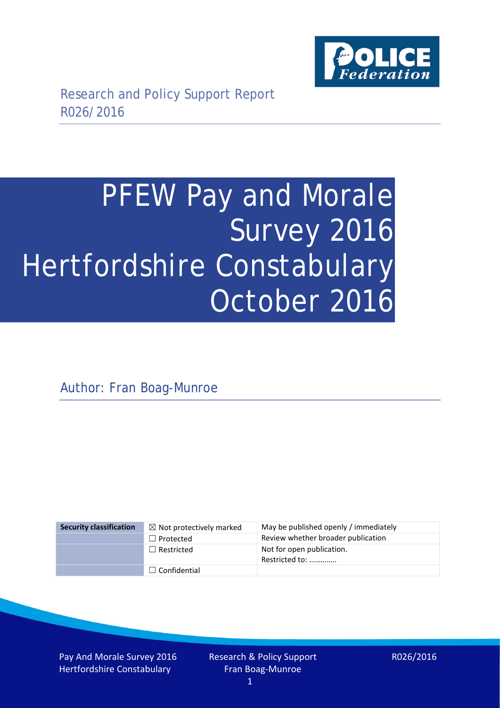

# PFEW Pay and Morale Survey 2016 Hertfordshire Constabulary October 2016

Author: Fran Boag-Munroe

| <b>Security classification</b> | $\boxtimes$ Not protectively marked | May be published openly / immediately       |
|--------------------------------|-------------------------------------|---------------------------------------------|
|                                | $\Box$ Protected                    | Review whether broader publication          |
|                                | $\Box$ Restricted                   | Not for open publication.<br>Restricted to: |
|                                | $\Box$ Confidential                 |                                             |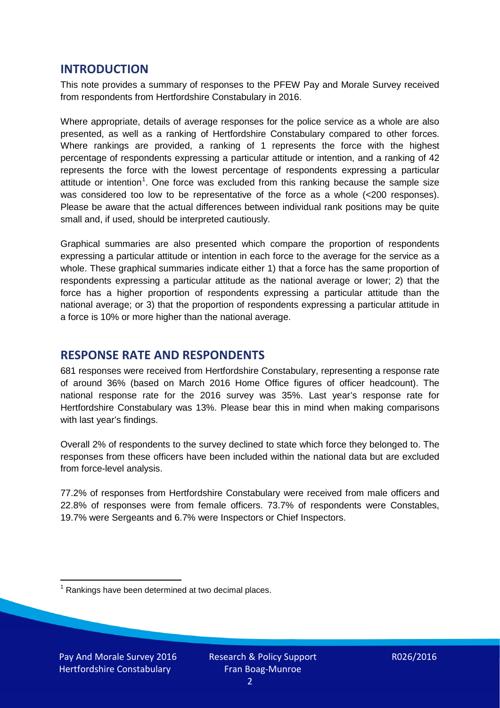## **INTRODUCTION**

This note provides a summary of responses to the PFEW Pay and Morale Survey received from respondents from Hertfordshire Constabulary in 2016.

Where appropriate, details of average responses for the police service as a whole are also presented, as well as a ranking of Hertfordshire Constabulary compared to other forces. Where rankings are provided, a ranking of 1 represents the force with the highest percentage of respondents expressing a particular attitude or intention, and a ranking of 42 represents the force with the lowest percentage of respondents expressing a particular attitude or intention<sup>[1](#page-1-0)</sup>. One force was excluded from this ranking because the sample size was considered too low to be representative of the force as a whole (<200 responses). Please be aware that the actual differences between individual rank positions may be quite small and, if used, should be interpreted cautiously.

Graphical summaries are also presented which compare the proportion of respondents expressing a particular attitude or intention in each force to the average for the service as a whole. These graphical summaries indicate either 1) that a force has the same proportion of respondents expressing a particular attitude as the national average or lower; 2) that the force has a higher proportion of respondents expressing a particular attitude than the national average; or 3) that the proportion of respondents expressing a particular attitude in a force is 10% or more higher than the national average.

# **RESPONSE RATE AND RESPONDENTS**

681 responses were received from Hertfordshire Constabulary, representing a response rate of around 36% (based on March 2016 Home Office figures of officer headcount). The national response rate for the 2016 survey was 35%. Last year's response rate for Hertfordshire Constabulary was 13%. Please bear this in mind when making comparisons with last year's findings.

Overall 2% of respondents to the survey declined to state which force they belonged to. The responses from these officers have been included within the national data but are excluded from force-level analysis.

77.2% of responses from Hertfordshire Constabulary were received from male officers and 22.8% of responses were from female officers. 73.7% of respondents were Constables, 19.7% were Sergeants and 6.7% were Inspectors or Chief Inspectors.

<span id="page-1-0"></span> $1$  Rankings have been determined at two decimal places.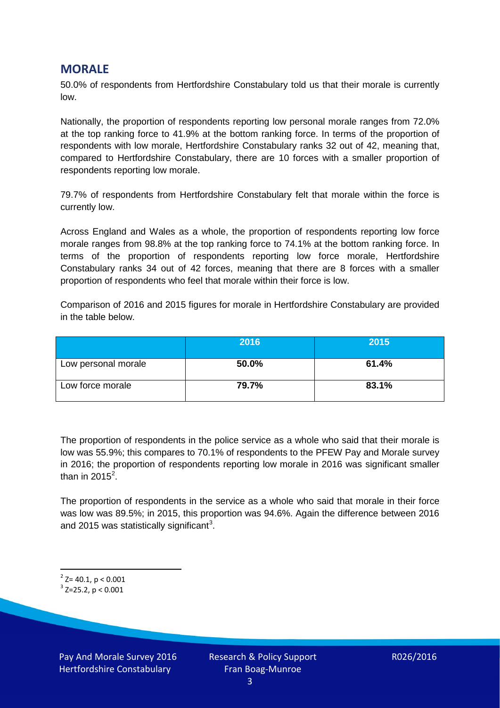# **MORALE**

50.0% of respondents from Hertfordshire Constabulary told us that their morale is currently low.

Nationally, the proportion of respondents reporting low personal morale ranges from 72.0% at the top ranking force to 41.9% at the bottom ranking force. In terms of the proportion of respondents with low morale, Hertfordshire Constabulary ranks 32 out of 42, meaning that, compared to Hertfordshire Constabulary, there are 10 forces with a smaller proportion of respondents reporting low morale.

79.7% of respondents from Hertfordshire Constabulary felt that morale within the force is currently low.

Across England and Wales as a whole, the proportion of respondents reporting low force morale ranges from 98.8% at the top ranking force to 74.1% at the bottom ranking force. In terms of the proportion of respondents reporting low force morale, Hertfordshire Constabulary ranks 34 out of 42 forces, meaning that there are 8 forces with a smaller proportion of respondents who feel that morale within their force is low.

Comparison of 2016 and 2015 figures for morale in Hertfordshire Constabulary are provided in the table below.

|                     | 2016  | 2015  |
|---------------------|-------|-------|
| Low personal morale | 50.0% | 61.4% |
| Low force morale    | 79.7% | 83.1% |

The proportion of respondents in the police service as a whole who said that their morale is low was 55.9%; this compares to 70.1% of respondents to the PFEW Pay and Morale survey in 2016; the proportion of respondents reporting low morale in 2016 was significant smaller than in [2](#page-2-0)015<sup>2</sup>.

The proportion of respondents in the service as a whole who said that morale in their force was low was 89.5%; in 2015, this proportion was 94.6%. Again the difference between 2016 and 2015 was statistically significant<sup>[3](#page-2-1)</sup>.

<span id="page-2-0"></span> $2$  Z= 40.1, p < 0.001

<span id="page-2-1"></span> $3$  Z=25.2, p < 0.001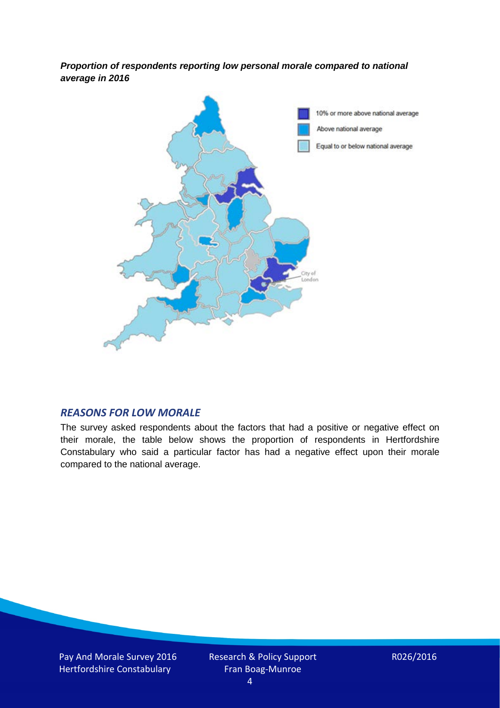*Proportion of respondents reporting low personal morale compared to national average in 2016*



#### *REASONS FOR LOW MORALE*

The survey asked respondents about the factors that had a positive or negative effect on their morale, the table below shows the proportion of respondents in Hertfordshire Constabulary who said a particular factor has had a negative effect upon their morale compared to the national average.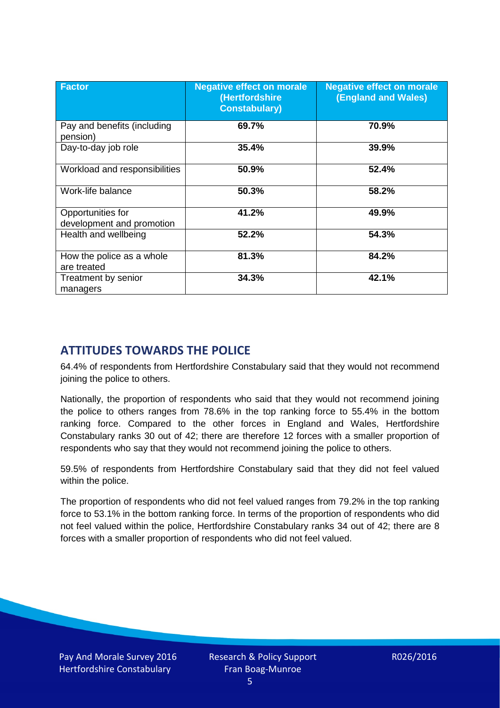| <b>Factor</b>                                  | <b>Negative effect on morale</b><br>(Hertfordshire<br><b>Constabulary)</b> | <b>Negative effect on morale</b><br>(England and Wales) |
|------------------------------------------------|----------------------------------------------------------------------------|---------------------------------------------------------|
| Pay and benefits (including<br>pension)        | 69.7%                                                                      | 70.9%                                                   |
| Day-to-day job role                            | 35.4%                                                                      | 39.9%                                                   |
| Workload and responsibilities                  | 50.9%                                                                      | 52.4%                                                   |
| Work-life balance                              | 50.3%                                                                      | 58.2%                                                   |
| Opportunities for<br>development and promotion | 41.2%                                                                      | 49.9%                                                   |
| Health and wellbeing                           | 52.2%                                                                      | 54.3%                                                   |
| How the police as a whole<br>are treated       | 81.3%                                                                      | 84.2%                                                   |
| Treatment by senior<br>managers                | 34.3%                                                                      | 42.1%                                                   |

# **ATTITUDES TOWARDS THE POLICE**

64.4% of respondents from Hertfordshire Constabulary said that they would not recommend joining the police to others.

Nationally, the proportion of respondents who said that they would not recommend joining the police to others ranges from 78.6% in the top ranking force to 55.4% in the bottom ranking force. Compared to the other forces in England and Wales, Hertfordshire Constabulary ranks 30 out of 42; there are therefore 12 forces with a smaller proportion of respondents who say that they would not recommend joining the police to others.

59.5% of respondents from Hertfordshire Constabulary said that they did not feel valued within the police.

The proportion of respondents who did not feel valued ranges from 79.2% in the top ranking force to 53.1% in the bottom ranking force. In terms of the proportion of respondents who did not feel valued within the police, Hertfordshire Constabulary ranks 34 out of 42; there are 8 forces with a smaller proportion of respondents who did not feel valued.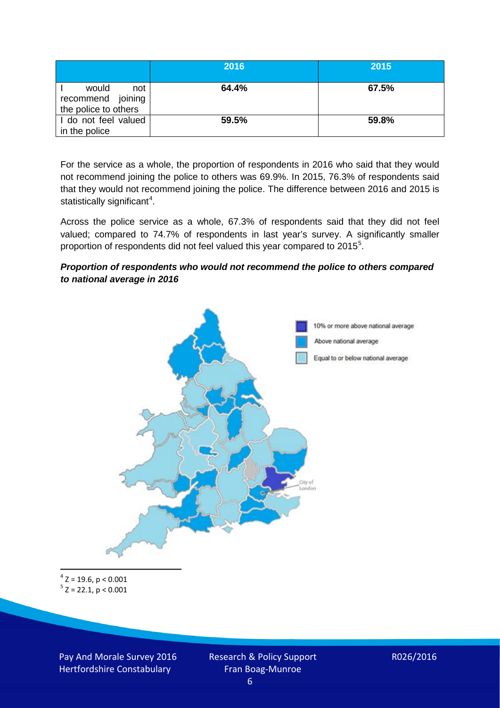|                                                           | 2016  | 2015  |
|-----------------------------------------------------------|-------|-------|
| would<br>not<br>recommend joining<br>the police to others | 64.4% | 67.5% |
| I do not feel valued<br>in the police                     | 59.5% | 59.8% |

For the service as a whole, the proportion of respondents in 2016 who said that they would not recommend joining the police to others was 69.9%. In 2015, 76.3% of respondents said that they would not recommend joining the police. The difference between 2016 and 2015 is statistically significant<sup>[4](#page-5-0)</sup>.

Across the police service as a whole, 67.3% of respondents said that they did not feel valued; compared to 74.7% of respondents in last year's survey. A significantly smaller proportion of respondents did not feel valued this year compared to 201[5](#page-5-1)<sup>5</sup>.

#### *Proportion of respondents who would not recommend the police to others compared to national average in 2016*



<span id="page-5-1"></span><span id="page-5-0"></span> $4$  Z = 19.6, p < 0.001  $5$  Z = 22.1, p < 0.001

Pay And Morale Survey 2016 Hertfordshire Constabulary

Research & Policy Support Fran Boag-Munroe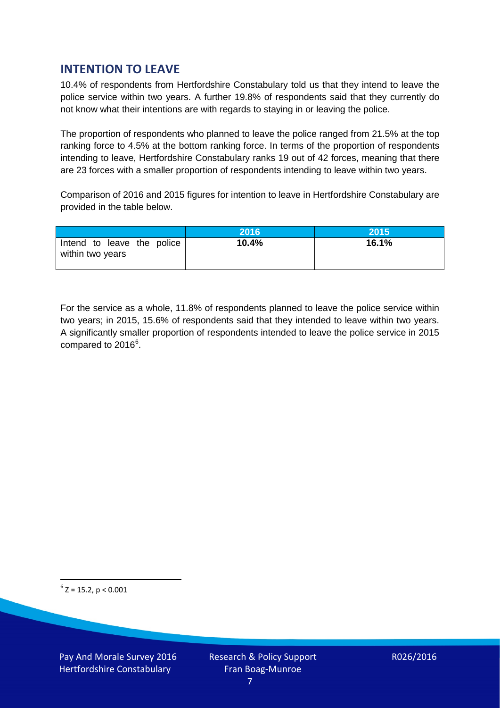# **INTENTION TO LEAVE**

10.4% of respondents from Hertfordshire Constabulary told us that they intend to leave the police service within two years. A further 19.8% of respondents said that they currently do not know what their intentions are with regards to staying in or leaving the police.

The proportion of respondents who planned to leave the police ranged from 21.5% at the top ranking force to 4.5% at the bottom ranking force. In terms of the proportion of respondents intending to leave, Hertfordshire Constabulary ranks 19 out of 42 forces, meaning that there are 23 forces with a smaller proportion of respondents intending to leave within two years.

Comparison of 2016 and 2015 figures for intention to leave in Hertfordshire Constabulary are provided in the table below.

|                                                | 2016  | <b>2015</b> |
|------------------------------------------------|-------|-------------|
| Intend to leave the police<br>within two years | 10.4% | 16.1%       |

For the service as a whole, 11.8% of respondents planned to leave the police service within two years; in 2015, 15.6% of respondents said that they intended to leave within two years. A significantly smaller proportion of respondents intended to leave the police service in 2015 compared to 201[6](#page-6-0)<sup>6</sup>.

<span id="page-6-0"></span> $6$  Z = 15.2, p < 0.001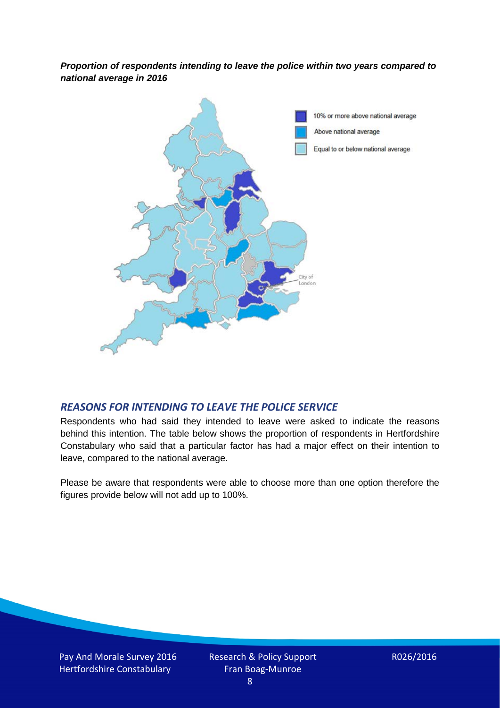*Proportion of respondents intending to leave the police within two years compared to national average in 2016*



### *REASONS FOR INTENDING TO LEAVE THE POLICE SERVICE*

Respondents who had said they intended to leave were asked to indicate the reasons behind this intention. The table below shows the proportion of respondents in Hertfordshire Constabulary who said that a particular factor has had a major effect on their intention to leave, compared to the national average.

Please be aware that respondents were able to choose more than one option therefore the figures provide below will not add up to 100%.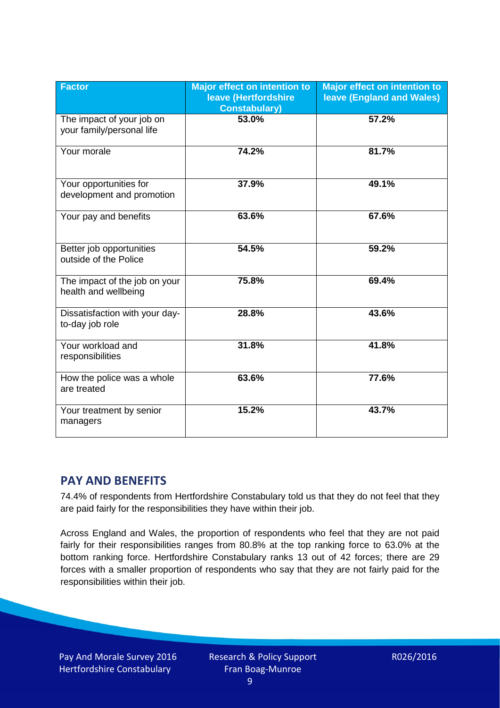| <b>Factor</b>                                          | <b>Major effect on intention to</b><br>leave (Hertfordshire<br><b>Constabulary)</b> | <b>Major effect on intention to</b><br>leave (England and Wales) |
|--------------------------------------------------------|-------------------------------------------------------------------------------------|------------------------------------------------------------------|
| The impact of your job on<br>your family/personal life | 53.0%                                                                               | 57.2%                                                            |
| Your morale                                            | 74.2%                                                                               | 81.7%                                                            |
| Your opportunities for<br>development and promotion    | 37.9%                                                                               | 49.1%                                                            |
| Your pay and benefits                                  | 63.6%                                                                               | 67.6%                                                            |
| Better job opportunities<br>outside of the Police      | 54.5%                                                                               | 59.2%                                                            |
| The impact of the job on your<br>health and wellbeing  | 75.8%                                                                               | 69.4%                                                            |
| Dissatisfaction with your day-<br>to-day job role      | 28.8%                                                                               | 43.6%                                                            |
| Your workload and<br>responsibilities                  | 31.8%                                                                               | 41.8%                                                            |
| How the police was a whole<br>are treated              | 63.6%                                                                               | 77.6%                                                            |
| Your treatment by senior<br>managers                   | 15.2%                                                                               | 43.7%                                                            |

# **PAY AND BENEFITS**

74.4% of respondents from Hertfordshire Constabulary told us that they do not feel that they are paid fairly for the responsibilities they have within their job.

Across England and Wales, the proportion of respondents who feel that they are not paid fairly for their responsibilities ranges from 80.8% at the top ranking force to 63.0% at the bottom ranking force. Hertfordshire Constabulary ranks 13 out of 42 forces; there are 29 forces with a smaller proportion of respondents who say that they are not fairly paid for the responsibilities within their job.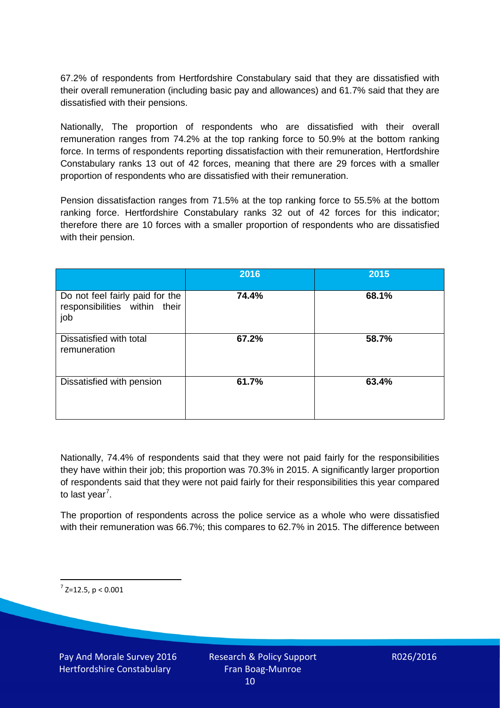67.2% of respondents from Hertfordshire Constabulary said that they are dissatisfied with their overall remuneration (including basic pay and allowances) and 61.7% said that they are dissatisfied with their pensions.

Nationally, The proportion of respondents who are dissatisfied with their overall remuneration ranges from 74.2% at the top ranking force to 50.9% at the bottom ranking force. In terms of respondents reporting dissatisfaction with their remuneration, Hertfordshire Constabulary ranks 13 out of 42 forces, meaning that there are 29 forces with a smaller proportion of respondents who are dissatisfied with their remuneration.

Pension dissatisfaction ranges from 71.5% at the top ranking force to 55.5% at the bottom ranking force. Hertfordshire Constabulary ranks 32 out of 42 forces for this indicator; therefore there are 10 forces with a smaller proportion of respondents who are dissatisfied with their pension.

|                                                                         | 2016  | 2015  |
|-------------------------------------------------------------------------|-------|-------|
| Do not feel fairly paid for the<br>responsibilities within their<br>job | 74.4% | 68.1% |
| Dissatisfied with total<br>remuneration                                 | 67.2% | 58.7% |
| Dissatisfied with pension                                               | 61.7% | 63.4% |

Nationally, 74.4% of respondents said that they were not paid fairly for the responsibilities they have within their job; this proportion was 70.3% in 2015. A significantly larger proportion of respondents said that they were not paid fairly for their responsibilities this year compared to last year<sup>[7](#page-9-0)</sup>.

The proportion of respondents across the police service as a whole who were dissatisfied with their remuneration was 66.7%; this compares to 62.7% in 2015. The difference between

<span id="page-9-0"></span> $7$  Z=12.5, p < 0.001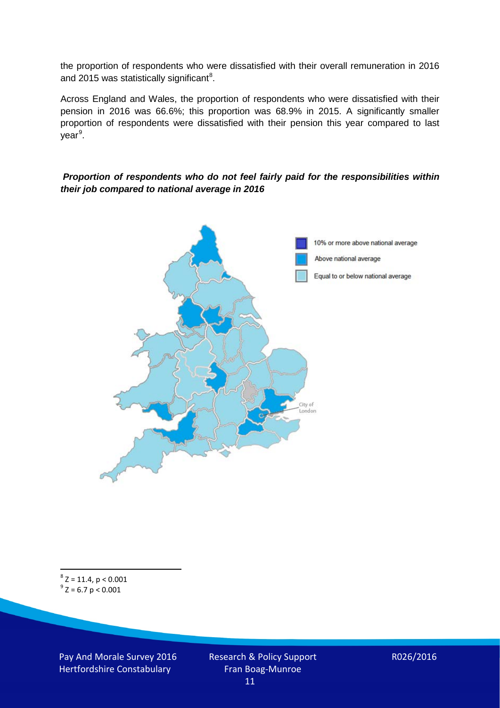the proportion of respondents who were dissatisfied with their overall remuneration in 2016 and 2015 was statistically significant<sup>[8](#page-10-0)</sup>.

Across England and Wales, the proportion of respondents who were dissatisfied with their pension in 2016 was 66.6%; this proportion was 68.9% in 2015. A significantly smaller proportion of respondents were dissatisfied with their pension this year compared to last year<sup>[9](#page-10-1)</sup>.

#### *Proportion of respondents who do not feel fairly paid for the responsibilities within their job compared to national average in 2016*



<span id="page-10-1"></span><span id="page-10-0"></span> $8$  Z = 11.4, p < 0.001  $^{9}$  Z = 6.7 p < 0.001

Pay And Morale Survey 2016 Hertfordshire Constabulary

Research & Policy Support Fran Boag-Munroe 11

R026/2016